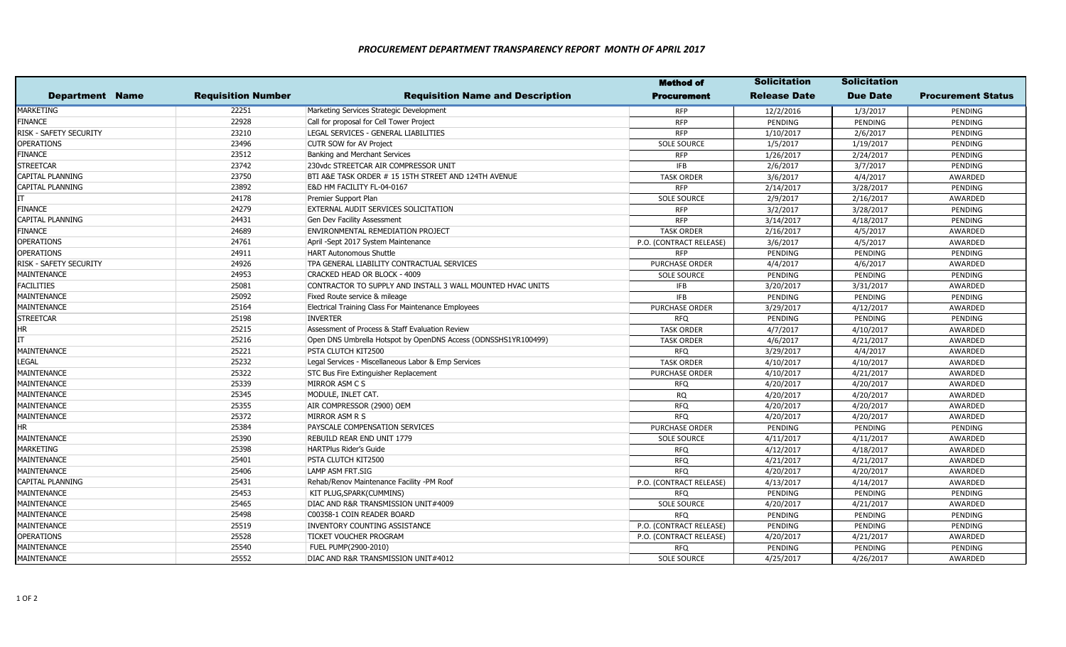|                        |                           |                                                                | <b>Method of</b>        | <b>Solicitation</b> | <b>Solicitation</b> |                           |
|------------------------|---------------------------|----------------------------------------------------------------|-------------------------|---------------------|---------------------|---------------------------|
| <b>Department Name</b> | <b>Requisition Number</b> | <b>Requisition Name and Description</b>                        | <b>Procurement</b>      | <b>Release Date</b> | <b>Due Date</b>     | <b>Procurement Status</b> |
| MARKETING              | 22251                     | Marketing Services Strategic Development                       | <b>RFP</b>              | 12/2/2016           | 1/3/2017            | PENDING                   |
| <b>FINANCE</b>         | 22928                     | Call for proposal for Cell Tower Project                       | <b>RFP</b>              | PENDING             | PENDING             | PENDING                   |
| RISK - SAFETY SECURITY | 23210                     | LEGAL SERVICES - GENERAL LIABILITIES                           | <b>RFP</b>              | 1/10/2017           | 2/6/2017            | PENDING                   |
| <b>OPERATIONS</b>      | 23496                     | CUTR SOW for AV Project                                        | <b>SOLE SOURCE</b>      | 1/5/2017            | 1/19/2017           | PENDING                   |
| FINANCE                | 23512                     | Banking and Merchant Services                                  | <b>RFP</b>              | 1/26/2017           | 2/24/2017           | PENDING                   |
| STREETCAR              | 23742                     | 230vdc STREETCAR AIR COMPRESSOR UNIT                           | <b>IFB</b>              | 2/6/2017            | 3/7/2017            | PENDING                   |
| CAPITAL PLANNING       | 23750                     | BTI A&E TASK ORDER # 15 15TH STREET AND 124TH AVENUE           | <b>TASK ORDER</b>       | 3/6/2017            | 4/4/2017            | AWARDED                   |
| CAPITAL PLANNING       | 23892                     | E&D HM FACILITY FL-04-0167                                     | <b>RFP</b>              | 2/14/2017           | 3/28/2017           | PENDING                   |
|                        | 24178                     | Premier Support Plan                                           | <b>SOLE SOURCE</b>      | 2/9/2017            | 2/16/2017           | AWARDED                   |
| FINANCE                | 24279                     | EXTERNAL AUDIT SERVICES SOLICITATION                           | <b>RFP</b>              | 3/2/2017            | 3/28/2017           | PENDING                   |
| CAPITAL PLANNING       | 24431                     | Gen Dev Facility Assessment                                    | <b>RFP</b>              | 3/14/2017           | 4/18/2017           | PENDING                   |
| FINANCE                | 24689                     | ENVIRONMENTAL REMEDIATION PROJECT                              | <b>TASK ORDER</b>       | 2/16/2017           | 4/5/2017            | AWARDED                   |
| <b>OPERATIONS</b>      | 24761                     | April -Sept 2017 System Maintenance                            | P.O. (CONTRACT RELEASE) | 3/6/2017            | 4/5/2017            | AWARDED                   |
| <b>OPERATIONS</b>      | 24911                     | <b>HART Autonomous Shuttle</b>                                 | <b>RFP</b>              | PENDING             | PENDING             | PENDING                   |
| RISK - SAFETY SECURITY | 24926                     | TPA GENERAL LIABILITY CONTRACTUAL SERVICES                     | <b>PURCHASE ORDER</b>   | 4/4/2017            | 4/6/2017            | AWARDED                   |
| MAINTENANCE            | 24953                     | CRACKED HEAD OR BLOCK - 4009                                   | <b>SOLE SOURCE</b>      | PENDING             | PENDING             | PENDING                   |
| <b>FACILITIES</b>      | 25081                     | CONTRACTOR TO SUPPLY AND INSTALL 3 WALL MOUNTED HVAC UNITS     | <b>IFB</b>              | 3/20/2017           | 3/31/2017           | AWARDED                   |
| MAINTENANCE            | 25092                     | Fixed Route service & mileage                                  | <b>IFB</b>              | PENDING             | PENDING             | PENDING                   |
| MAINTENANCE            | 25164                     | Electrical Training Class For Maintenance Employees            | <b>PURCHASE ORDER</b>   | 3/29/2017           | 4/12/2017           | AWARDED                   |
| STREETCAR              | 25198                     | <b>INVERTER</b>                                                | <b>RFQ</b>              | PENDING             | PENDING             | PENDING                   |
| ΗR                     | 25215                     | Assessment of Process & Staff Evaluation Review                | <b>TASK ORDER</b>       | 4/7/2017            | 4/10/2017           | AWARDED                   |
|                        | 25216                     | Open DNS Umbrella Hotspot by OpenDNS Access (ODNSSHS1YR100499) | <b>TASK ORDER</b>       | 4/6/2017            | 4/21/2017           | AWARDED                   |
| MAINTENANCE            | 25221                     | PSTA CLUTCH KIT2500                                            | <b>RFQ</b>              | 3/29/2017           | 4/4/2017            | AWARDED                   |
| LEGAL                  | 25232                     | Legal Services - Miscellaneous Labor & Emp Services            | <b>TASK ORDER</b>       | 4/10/2017           | 4/10/2017           | AWARDED                   |
| MAINTENANCE            | 25322                     | <b>STC Bus Fire Extinguisher Replacement</b>                   | <b>PURCHASE ORDER</b>   | 4/10/2017           | 4/21/2017           | AWARDED                   |
| MAINTENANCE            | 25339                     | MIRROR ASM C S                                                 | <b>RFQ</b>              | 4/20/2017           | 4/20/2017           | AWARDED                   |
| MAINTENANCE            | 25345                     | MODULE, INLET CAT.                                             | <b>RQ</b>               | 4/20/2017           | 4/20/2017           | AWARDED                   |
| MAINTENANCE            | 25355                     | AIR COMPRESSOR (2900) OEM                                      | <b>RFO</b>              | 4/20/2017           | 4/20/2017           | AWARDED                   |
| MAINTENANCE            | 25372                     | MIRROR ASM R S                                                 | <b>RFQ</b>              | 4/20/2017           | 4/20/2017           | AWARDED                   |
| HR                     | 25384                     | PAYSCALE COMPENSATION SERVICES                                 | <b>PURCHASE ORDER</b>   | PENDING             | PENDING             | PENDING                   |
| MAINTENANCE            | 25390                     | <b>REBUILD REAR END UNIT 1779</b>                              | <b>SOLE SOURCE</b>      | 4/11/2017           | 4/11/2017           | AWARDED                   |
| MARKETING              | 25398                     | <b>HARTPlus Rider's Guide</b>                                  | <b>RFQ</b>              | 4/12/2017           | 4/18/2017           | AWARDED                   |
| MAINTENANCE            | 25401                     | PSTA CLUTCH KIT2500                                            | <b>RFQ</b>              | 4/21/2017           | 4/21/2017           | AWARDED                   |
| MAINTENANCE            | 25406                     | LAMP ASM FRT.SIG                                               | <b>RFO</b>              | 4/20/2017           | 4/20/2017           | AWARDED                   |
| CAPITAL PLANNING       | 25431                     | Rehab/Renov Maintenance Facility -PM Roof                      | P.O. (CONTRACT RELEASE) | 4/13/2017           | 4/14/2017           | AWARDED                   |
| MAINTENANCE            | 25453                     | KIT PLUG, SPARK (CUMMINS)                                      | <b>RFQ</b>              | PENDING             | PENDING             | PENDING                   |
| MAINTENANCE            | 25465                     | DIAC AND R&R TRANSMISSION UNIT#4009                            | <b>SOLE SOURCE</b>      | 4/20/2017           | 4/21/2017           | AWARDED                   |
| MAINTENANCE            | 25498                     | C00358-1 COIN READER BOARD                                     | <b>RFQ</b>              | PENDING             | PENDING             | PENDING                   |
| MAINTENANCE            | 25519                     | <b>INVENTORY COUNTING ASSISTANCE</b>                           | P.O. (CONTRACT RELEASE) | PENDING             | PENDING             | PENDING                   |
| OPERATIONS             | 25528                     | TICKET VOUCHER PROGRAM                                         | P.O. (CONTRACT RELEASE) | 4/20/2017           | 4/21/2017           | AWARDED                   |
| MAINTENANCE            | 25540                     | FUEL PUMP(2900-2010)                                           | <b>RFQ</b>              | PENDING             | PENDING             | PENDING                   |
| MAINTENANCE            | 25552                     | DIAC AND R&R TRANSMISSION UNIT#4012                            | <b>SOLE SOURCE</b>      | 4/25/2017           | 4/26/2017           | AWARDED                   |